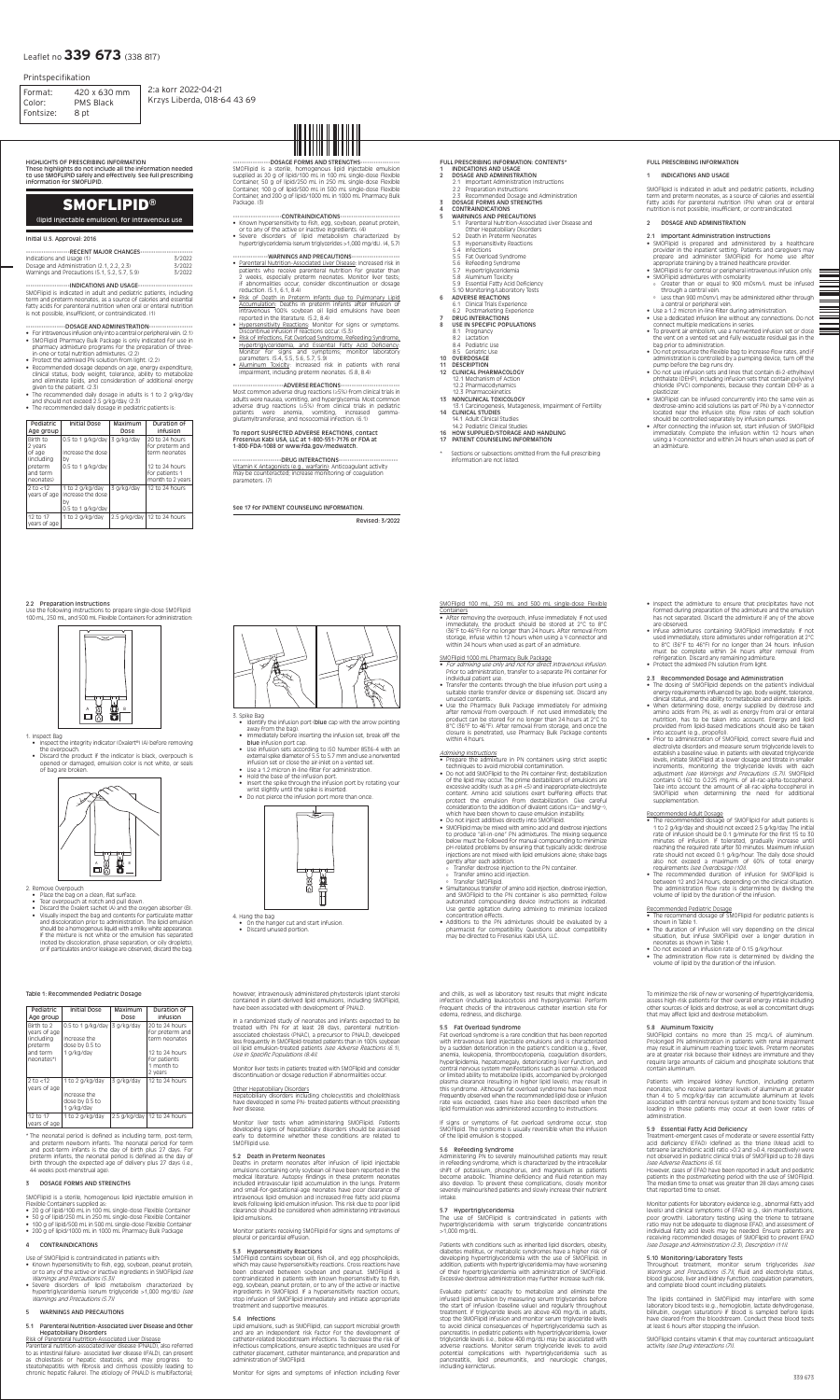# SMOFLIPID**®**

SMOFlipid 100 mL, 250 mL and 500 mL single-dose Flexible Containers

# (lipid injectable emulsion), for intravenous use

• After removing the overpouch, infuse immediately. If not used immediately, the product should be stored at 2°C to 8°C (36°F to 46°F) for no longer than 24 hours. After removal from storage, infuse within 12 hours when using a Y-connector and within 24 hours when used as part of an admixture.

SMOFlipid 1000 mL Pharmacy Bulk Package

• For admixing use only and not for direct intravenous infusion. Prior to administration, transfer to a separate PN container for

individual patient use.

• Transfer the contents through the blue infusion port using a suitable sterile transfer device or dispensing set. Discard any

unused contents.

• Use the Pharmacy Bulk Package immediately for admixing after removal from overpouch. If not used immediately, the product can be stored for no longer than 24 hours at 2°C to 8°C (36°F to 46°F). After removal from storage, and once the closure is penetrated, use Pharmacy Bulk Package contents

• Prepare the admixture in PN containers using strict aseptic

within 4 hours. Admixing Instructions

techniques to avoid microbial contamination.

• Do not add SMOFlipid to the PN container first; destabilization

of the lipid may occur. The prime destabilizers of emulsions are excessive acidity (such as a pH <5) and inappropriate electrolyte content. Amino acid solutions exert buffering effects that protect the emulsion from destabilization. Give careful consideration to the addition of divalent cations (Ca++ and Mg++),

which have been shown to cause emulsion instability. • Do not inject additives directly into SMOFlipid.

• Prior to administration of SMOFlipid, correct severe fluid and electrolyte disorders and measure serum triglyceride levels to establish a baseline value. In patients with elevated triglyceride levels, initiate SMOFlipid at a lower dosage and titrate in smaller increments, monitoring the triglyceride levels with each adjustment *[see Warnings and Precautions (5.7)]*. SMOFlipid

- SMOFlipid may be mixed with amino acid and dextrose injections to produce "all-in-one" PN admixtures. The mixing sequence below must be followed for manual compounding to minimize pH-related problems by ensuring that typically acidic dextrose injections are not mixed with lipid emulsions alone; shake bags gently after each addition.
- º Transfer dextrose injection to the PN container.
- º Transfer amino acid injection.
- º Transfer SMOFlipid.
- Simultaneous transfer of amino acid injection, dextrose injection, and SMOFlipid to the PN container is also permitted; follow automated compounding device instructions as indicated. Use gentle agitation during admixing to minimize localized concentration effects.
- Additions to the PN admixtures should be evaluated by a pharmacist for compatibility. Questions about compatibility may be directed to Fresenius Kabi USA, LLC.
- The recommended dosage of SMOFlipid for adult patients is 1 to 2 g/kg/day and should not exceed 2.5 g/kg/day. The initial rate of infusion should be 0.1 g/minute for the first 15 to 30 minutes of infusion. If tolerated, gradually increase until reaching the required rate after 30 minutes. Maximum infusion rate should not exceed 0.1 g/kg/hour. The daily dose should also not exceed a maximum of 60% of total energy requirements [see Overdosage (10)].
- The recommended duration of infusion for SMOFlipid is between 12 and 24 hours, depending on the clinical situation. The administration flow rate is determined by dividing the volume of lipid by the duration of the infusion.

• Inspect the admixture to ensure that precipitates have not formed during preparation of the admixture and the emulsion has not separated. Discard the admixture if any of the above

are observed.

• Infuse admixtures containing SMOFlipid immediately. If not used immediately, store admixtures under refrigeration at 2°C to 8°C (36°F to 46°F) for no longer than 24 hours. Infusion must be complete within 24 hours after removal from

refrigeration. Discard any remaining admixture. • Protect the admixed PN solution from light.

2.3 Recommended Dosage and Administration

• The dosing of SMOFlipid depends on the patient's individual energy requirements influenced by age, body weight, tolerance, clinical status, and the ability to metabolize and eliminate lipids. • When determining dose, energy supplied by dextrose and amino acids from PN, as well as energy from oral or enteral nutrition, has to be taken into account. Energy and lipid provided from lipid-based medications should also be taken

-----------------DOSAGE FORMS AND STRENGTHS------------------ SMOFlipid is a sterile, homogenous lipid injectable emulsion supplied as 20 g of lipid/100 mL in 100 mL single-dose Flexible Container, 50 g of lipid/250 mL in 250 mL single-dose Flexible Container, 100 g of lipid/500 mL in 500 mL single-dose Flexible Container, and 200 g of lipid/1000 mL in 1000 mL Pharmacy Bulk Package. (3)

# -----------------------CONTRAINDICATIONS----------------------------

into account (e.g., propofol).

contains 0.162 to 0.225 mg/mL of all-rac-alpha-tocopherol. Take into account the amount of all-rac-alpha-tocopherol in SMOFlipid when determining the need for additional supplementation.

## Recommended Adult Dosage

-----------------------DRUG INTERACTIONS----------------------------Vitamin K Antagonists (e.g., warfarin): Anticoagulant activity may be counteracted; increase monitoring of coagulation parameters. (7)

## Recommended Pediatric Dosage

- The recommend dosage of SMOFlipid for pediatric patients is shown in Table 1.
- The duration of infusion will vary depending on the clinical situation, but infuse SMOFlipid over a longer duration in neonates as shown in Table 1.
- Do not exceed an infusion rate of 0.15 g/kg/hour.
- The administration flow rate is determined by dividing the volume of lipid by the duration of the infusion.

HIGHLIGHTS OF PRESCRIBING INFORMATION

These highlights do not include all the information needed to use SMOFLIPID safely and effectively. See full prescribing information for SMOFLIPID.

#### Initial U.S. Approval: 2016

| RECENT MAJOR CHANGES                          |        |  |  |
|-----------------------------------------------|--------|--|--|
|                                               |        |  |  |
| Indications and Usage (1)                     | 3/2022 |  |  |
| Dosage and Administration (2.1, 2.2, 2.3)     | 3/2022 |  |  |
| Warnings and Precautions (5.1, 5.2, 5.7, 5.9) | 3/2022 |  |  |

#### -----------------------INDICATIONS AND USAGE---------------------------

SMOFlipid is indicated in adult and pediatric patients, including term and preterm neonates, as a source of calories and essential fatty acids for parenteral nutrition when oral or enteral nutrition is not possible, insufficient, or contraindicated. (1)

#### ------------------DOSAGE AND ADMINISTRATION--------------------

- For intravenous infusion only into a central or peripheral vein. (2.1) • SMOFlipid Pharmacy Bulk Package is only indicated for use in pharmacy admixture programs for the preparation of threein-one or total nutrition admixtures. (2.2)
- Protect the admixed PN solution from light. (2.2)
- Recommended dosage depends on age, energy expenditure, clinical status, body weight, tolerance, ability to metabolize and eliminate lipids, and consideration of additional energy given to the patient. (2.3)
- The recommended daily dosage in adults is 1 to 2 g/kg/day and should not exceed 2.5 g/kg/day. (2.3)
- The recommended daily dosage in pediatric patients is:

| Pediatric<br>Age group                                                     | Initial Dose                                                                   | Maximum<br>Dose | Duration of<br>infusion                                                                |
|----------------------------------------------------------------------------|--------------------------------------------------------------------------------|-----------------|----------------------------------------------------------------------------------------|
| Birth to<br>2 years<br>of age<br><i>l</i> including<br>preterm<br>and term | 0.5 to 1 g/kg/day   3 g/kg/day<br>Increase the dose<br>bv<br>0.5 to 1 g/kg/day |                 | 20 to 24 hours<br>for preterm and<br>term neonates<br>12 to 24 hours<br>for patients 1 |
| neonates)                                                                  |                                                                                |                 | month to 2 years                                                                       |
| 2 to $<$ 12<br>vears of age                                                | 1 to 2 g/kg/day<br>Increase the dose<br>bv<br>0.5 to 1 g/kg/day                | 3 g/kg/dav      | $12$ to 24 hours                                                                       |
| 12 to 17<br>years of age                                                   | 1 to 2 g/kg/day                                                                |                 | 2.5 g/kg/day   12 to 24 hours                                                          |



- Inspect the integrity indicator (Oxalert®) (A) before removing the overpouch.
- Discard the product if the indicator is black, overpouch is opened or damaged, emulsion color is not white, or seals of bag are broken.
- 
- 3. Spike Bag
- Identify the infusion port (blue cap with the arrow pointing away from the bag).
	- Immediately before inserting the infusion set, break off the blue infusion port cap.
- Use infusion sets according to ISO Number 8536-4 with an external spike diameter of 5.5 to 5.7 mm and use a nonvented infusion set or close the air-inlet on a vented set.
- Use a 1.2 micron in-line filter for administration.
- Known hypersensitivity to fish, egg, soybean, peanut protein, or to any of the active or inactive ingredients. (4)
- Severe disorders of lipid metabolism characterized by hypertriglyceridemia (serum triglycerides >1,000 mg/dL). (4, 5.7)

# ----------------WARNINGS AND PRECAUTIONS----------------------

- Parenteral Nutrition-Associated Liver Disease: Increased risk in patients who receive parenteral nutrition for greater than 2 weeks, especially preterm neonates. Monitor liver tests; if abnormalities occur, consider discontinuation or dosage reduction. (5.1, 6.1, 8.4)
- Risk of Death in Preterm Infants due to Pulmonary Lipid Accumulation: Deaths in preterm infants after infusion of intravenous 100% soybean oil lipid emulsions have been reported in the literature. (5.2, 8.4)
- Hypersensitivity Reactions: Monitor for signs or symptoms. Discontinue infusion if reactions occur. (5.3)
- Risk of Infections, Fat Overload Syndrome, Refeeding Syndrome, Hypertriglyceridemia, and Essential Fatty Acid Deficiency: Monitor for signs and symptoms; monitor laboratory parameters. (5.4, 5.5, 5.6, 5.7, 5.9)
- Aluminum Toxicity: Increased risk in patients with renal impairment, including preterm neonates. (5.8, 8.4)

# -------------------------ADVERSE REACTIONS-----------------------------

Most common adverse drug reactions (≥5%) from clinical trials in adults were nausea, vomiting, and hyperglycemia. Most common adverse drug reactions (≥5%) from clinical trials in pediatric patients were anemia, vomiting, increased gammaglutamyltransferase, and nosocomial infection. (6.1)

#### To report SUSPECTED ADVERSE REACTIONS, contact Fresenius Kabi USA, LLC at 1-800-551-7176 or FDA at 1-800-FDA-1088 or www.fda.gov/medwatch.

# See 17 for PATIENT COUNSELING INFORMATION.

Revised: 3/2022

## FULL PRESCRIBING INFORMATION: CONTENTS\*

- 1 INDICATIONS AND USAGE
- 2 DOSAGE AND ADMINISTRATION 2.1 Important Administration Instructions
- 2.2 Preparation Instructions
- 2.3 Recommended Dosage and Administration DOSAGE FORMS AND STRENGTHS
- 4 CONTRAINDICATIONS
- 5 WARNINGS AND PRECAUTIONS
- 5.1 Parenteral Nutrition-Associated Liver Disease and Other Hepatobiliary Disorders
- 5.2 Death in Preterm Neonates
- 5.3 Hypersensitivity Reactions
- 5.4 Infections
- 5.5 Fat Overload Syndrome<br>5.6 Refeeding Syndrome
- Refeeding Syndrome
- 5.7 Hypertriglyceridemia
- 5.8 Aluminum Toxicity
- 5.9 Essential Fatty Acid Deficiency
- 5.10 Monitoring/Laboratory Tests
- 6 ADVERSE REACTIONS
- 6.1 Clinical Trials Experience 6.2 Postmarketing Experience
- DRUG INTERACTIONS
- USE IN SPECIFIC POPULATIONS
	- 8.1 Pregnancy
	- 8.2 Lactation
	- 8.4 Pediatric Use
	- 8.5 Geriatric Use
- 10 OVERDOSAGE
- 11 DESCRIPTION
- 12 CLINICAL PHARMACOLOGY
- 12.1 Mechanism of Action
- 12.2 Pharmacodynamics
- 12.3 Pharmacokinetics
- 13 NONCLINICAL TOXICOLOGY
- 13.1 Carcinogenesis, Mutagenesis, Impairment of Fertility 14 CLINICAL STUDIES 14.1 Adult Clinical Studies
- 
- 14.2 Pediatric Clinical Studies

information are not listed.

- 16 HOW SUPPLIED/STORAGE AND HANDLING<br>17 PATIENT COUNSELING INFORMATION PATIENT COUNSELING INFORMATION
- Sections or subsections omitted from the full prescribing

## FULL PRESCRIBING INFORMATION

#### 1 INDICATIONS AND USAGE

SMOFlipid is indicated in adult and pediatric patients, including term and preterm neonates, as a source of calories and essential fatty acids for parenteral nutrition (PN) when oral or enteral nutrition is not possible, insufficient, or contraindicated.

## 2 DOSAGE AND ADMINISTRATION

#### 2.1 Important Administration Instructions

- SMOFlipid is prepared and administered by a healthcare provider in the inpatient setting. Patients and caregivers may prepare and administer SMOFlipid for home use after appropriate training by a trained healthcare provider.
- SMOFlipid is for central or peripheral intravenous infusion only.
- SMOFlipid admixtures with osmolarity
	- º Greater than or equal to 900 mOsm/L must be infused through a central vein.
- º Less than 900 mOsm/L may be administered either through a central or peripheral vein.
- Use a 1.2 micron in-line filter during administration. • Use a dedicated infusion line without any connections. Do not
- connect multiple medications in series. • To prevent air embolism, use a nonvented infusion set or close
- the vent on a vented set and fully evacuate residual gas in the bag prior to administration. • Do not pressurize the flexible bag to increase flow rates, and if
- administration is controlled by a pumping device, turn off the pump before the bag runs dry.
- Do not use infusion sets and lines that contain di-2-ethylhexyl phthalate (DEHP), including infusion sets that contain polyvinyl chloride (PVC) components, because they contain DEHP as a plasticizer.
- SMOFlipid can be infused concurrently into the same vein as dextrose-amino acid solutions (as part of PN) by a Y-connector located near the infusion site; flow rates of each solution should be controlled separately by infusion pumps.
- After connecting the infusion set, start infusion of SMOFlipid immediately. Complete the infusion within 12 hours when using a Y-connector and within 24 hours when used as part of an admixture.

Throughout treatment, monitor serum triglycerides *[see*] Warnings and Precautions (5.7)], fluid and electrolyte status, blood glucose, liver and kidney function, coagulation parameters, and complete blood count including platelets.

SMOFlipid contains vitamin K that may counteract anticoagulant activity Isee Drug Interactions (7) !.

1. Inspect Bag

# 2.2 Preparation Instructions

Use the following instructions to prepare single-dose SMOFlipid 100 mL, 250 mL, and 500 mL Flexible Containers for administration:

# 2. Remove Overpouch

- Place the bag on a clean, flat surface.
- Tear overpouch at notch and pull down.
- Discard the Oxalert sachet (A) and the oxygen absorber (B). • Visually inspect the bag and contents for particulate matter and discoloration prior to administration. The lipid emulsion should be a homogenous liquid with a milky white appearance. If the mixture is not white or the emulsion has separated (noted by discoloration, phase separation, or oily droplets), or if particulates and/or leakage are observed, discard the bag.





- Hold the base of the infusion port.
	- Insert the spike through the infusion port by rotating your wrist slightly until the spike is inserted.
	- Do not pierce the infusion port more than once.



4. Hang the bag

- On the hanger cut and start infusion.
- Discard unused portion.

## Table 1: Recommended Pediatric Dosage

| Pediatric<br>Age group                                                                | Initial Dose                                                      | Maximum<br>Dose | Duration of<br>infusion                                                                                       |
|---------------------------------------------------------------------------------------|-------------------------------------------------------------------|-----------------|---------------------------------------------------------------------------------------------------------------|
| Birth to 2<br>years of age<br><i>(including)</i><br>preterm<br>and term<br>neonates*) | 0.5 to 1 g/kg/day<br>Increase the<br>dose by 0.5 to<br>1 g/kg/day | 3 g/kg/day      | 20 to 24 hours<br>for preterm and<br>term neonates<br>12 to 24 hours<br>for patients<br>1 month to<br>2 years |
| 2 to $<$ 12<br>years of age                                                           | 1 to 2 g/kg/day<br>Increase the<br>dose by 0.5 to<br>1 g/kg/day   | 3 g/kg/dav      | 12 to 24 hours                                                                                                |
| 12 to 17<br>years of age                                                              | 1 to 2 g/kg/day                                                   |                 | 2.5 g/kg/day   12 to 24 hours                                                                                 |

\* The neonatal period is defined as including term, post-term, and preterm newborn infants. The neonatal period for term and post-term infants is the day of birth plus 27 days. For preterm infants, the neonatal period is defined as the day of birth through the expected age of delivery plus 27 days (i.e., 44 weeks post-menstrual age).

#### 3 DOSAGE FORMS AND STRENGTHS

SMOFlipid is a sterile, homogenous lipid injectable emulsion in Flexible Containers supplied as:

- 20 g of lipid/100 mL in 100 mL single-dose Flexible Container
- 50 g of lipid/250 mL in 250 mL single-dose Flexible Container
- 100 g of lipid/500 mL in 500 mL single-dose Flexible Container
- 200 g of lipid/1000 mL in 1000 mL Pharmacy Bulk Package

## 4 CONTRAINDICATIONS

Use of SMOFlipid is contraindicated in patients with:

- Known hypersensitivity to fish, egg, soybean, peanut protein, or to any of the active or inactive ingredients in SMOFlipid [see Warnings and Precautions (5.3)]
- Severe disorders of lipid metabolism characterized by hypertriglyceridemia (serum triglyceride >1,000 mg/dL) [see Warnings and Precautions (5.7)]

#### 5 WARNINGS AND PRECAUTIONS

#### 5.1 Parenteral Nutrition-Associated Liver Disease and Other Hepatobiliary Disorders

Risk of Parenteral Nutrition-Associated Liver Disease Parenteral nutrition-associated liver disease (PNALD), also referred to as intestinal failure- associated liver disease (IFALD), can present as cholestasis or hepatic steatosis, and may progress to steatohepatitis with fibrosis and cirrhosis (possibly leading to chronic hepatic failure). The etiology of PNALD is multifactorial;

however, intravenously administered phytosterols (plant sterols) contained in plant-derived lipid emulsions, including SMOFlipid, have been associated with development of PNALD.

In a randomized study of neonates and infants expected to be treated with PN for at least 28 days, parenteral nutritionassociated cholestasis (PNAC), a precursor to PNALD, developed less frequently in SMOFlipid-treated patients than in 100% soybean oil lipid emulsion-treated patients *[see Adverse Reactions (6.1)*, Use in Specific Populations (8.4)].

Monitor liver tests in patients treated with SMOFlipid and consider discontinuation or dosage reduction if abnormalities occur.

# Other Hepatobiliary Disorders

Hepatobiliary disorders including cholecystitis and cholelithiasis have developed in some PN- treated patients without preexisting liver disease.

Monitor liver tests when administering SMOFlipid. Patients developing signs of hepatobiliary disorders should be assessed early to determine whether these conditions are related to SMOFlipid use.

## 5.2 Death in Preterm Neonates

Deaths in preterm neonates after infusion of lipid injectable emulsions containing only soybean oil have been reported in the medical literature. Autopsy findings in these preterm neonates included intravascular lipid accumulation in the lungs. Preterm and small-for-gestational-age neonates have poor clearance of intravenous lipid emulsion and increased free fatty acid plasma levels following lipid emulsion infusion. This risk due to poor lipid clearance should be considered when administering intravenous lipid emulsions.

Monitor patients receiving SMOFlipid for signs and symptoms of pleural or pericardial effusion.

#### 5.3 Hypersensitivity Reactions

SMOFlipid contains soybean oil, fish oil, and egg phospholipids, which may cause hypersensitivity reactions. Cross reactions have been observed between soybean and peanut. SMOFlipid is contraindicated in patients with known hypersensitivity to fish, egg, soybean, peanut protein, or to any of the active or inactive ingredients in SMOFlipid. If a hypersensitivity reaction occurs, stop infusion of SMOFlipid immediately and initiate appropriate treatment and supportive measures.

### 5.4 Infections

Lipid emulsions, such as SMOFlipid, can support microbial growth and are an independent risk factor for the development of catheter-related bloodstream infections. To decrease the risk of infectious complications, ensure aseptic techniques are used for catheter placement, catheter maintenance, and preparation and administration of SMOFlipid.

and chills, as well as laboratory test results that might indicate infection (including leukocytosis and hyperglycemia). Perform frequent checks of the intravenous catheter insertion site for edema, redness, and discharge.

# 5.5 Fat Overload Syndrome

Fat overload syndrome is a rare condition that has been reported with intravenous lipid injectable emulsions and is characterized by a sudden deterioration in the patient's condition (e.g., fever, anemia, leukopenia, thrombocytopenia, coagulation disorders, hyperlipidemia, hepatomegaly, deteriorating liver function, and central nervous system manifestations such as coma). A reduced or limited ability to metabolize lipids, accompanied by prolonged plasma clearance (resulting in higher lipid levels), may result in this syndrome. Although fat overload syndrome has been most frequently observed when the recommended lipid dose or infusion rate was exceeded, cases have also been described when the lipid formulation was administered according to instructions.

If signs or symptoms of fat overload syndrome occur, stop SMOFlipid. The syndrome is usually reversible when the infusion of the lipid emulsion is stopped.

# 5.6 Refeeding Syndrome

Administering PN to severely malnourished patients may result in refeeding syndrome, which is characterized by the intracellular shift of potassium, phosphorus, and magnesium as patients become anabolic. Thiamine deficiency and fluid retention may also develop. To prevent these complications, closely monitor severely malnourished patients and slowly increase their nutrient intake.

## 5.7 Hypertriglyceridemia

The use of SMOFlipid is contraindicated in patients with hypertriglyceridemia with serum triglyceride concentrations >1,000 mg/dL.

Patients with conditions such as inherited lipid disorders, obesity, diabetes mellitus, or metabolic syndromes have a higher risk of developing hypertriglyceridemia with the use of SMOFlipid. In addition, patients with hypertriglyceridemia may have worsening of their hypertriglyceridemia with administration of SMOFlipid. Excessive dextrose administration may further increase such risk.

Evaluate patients' capacity to metabolize and eliminate the infused lipid emulsion by measuring serum triglycerides before the start of infusion (baseline value) and regularly throughout treatment. If triglyceride levels are above 400 mg/dL in adults, stop the SMOFlipid infusion and monitor serum triglyceride levels to avoid clinical consequences of hypertriglyceridemia such as pancreatitis. In pediatric patients with hypertriglyceridemia, lower triglyceride levels (i.e., below 400 mg/dL) may be associated with adverse reactions. Monitor serum triglyceride levels to avoid potential complications with hypertriglyceridemia such as pancreatitis, lipid pneumonitis, and neurologic changes, including kernicterus.

To minimize the risk of new or worsening of hypertriglyceridemia, assess high-risk patients for their overall energy intake including other sources of lipids and dextrose, as well as concomitant drugs that may affect lipid and dextrose metabolism.

## 5.8 Aluminum Toxicity

SMOFlipid contains no more than 25 mcg/L of aluminum. Prolonged PN administration in patients with renal impairment may result in aluminum reaching toxic levels. Preterm neonates are at greater risk because their kidneys are immature and they require large amounts of calcium and phosphate solutions that contain aluminum.

Patients with impaired kidney function, including preterm neonates, who receive parenteral levels of aluminum at greater than 4 to 5 mcg/kg/day can accumulate aluminum at levels associated with central nervous system and bone toxicity. Tissue loading in these patients may occur at even lower rates of administration.

## 5.9 Essential Fatty Acid Deficiency

Treatment-emergent cases of moderate or severe essential fatty acid deficiency (EFAD) (defined as the triene [Mead acid] to tetraene Iarachidonic acid] ratio >0.2 and >0.4, respectively) were not observed in pediatric clinical trials of SMOFlipid up to 28 days [see Adverse Reactions (6.1)].

However, cases of EFAD have been reported in adult and pediatric patients in the postmarketing period with the use of SMOFlipid. The median time to onset was greater than 28 days among cases that reported time to onset.

Monitor patients for laboratory evidence (e.g., abnormal fatty acid levels) and clinical symptoms of EFAD (e.g., skin manifestations, poor growth). Laboratory testing using the triene to tetraene ratio may not be adequate to diagnose EFAD, and assessment of individual fatty acid levels may be needed. Ensure patients are receiving recommended dosages of SMOFlipid to prevent EFAD [see Dosage and Administration (2.3), Description (11)].

#### 5.10 Monitoring/Laboratory Tests

The lipids contained in SMOFlipid may interfere with some laboratory blood tests (e.g., hemoglobin, lactate dehydrogenase, bilirubin, oxygen saturation) if blood is sampled before lipids have cleared from the bloodstream. Conduct these blood tests at least 6 hours after stopping the infusion.